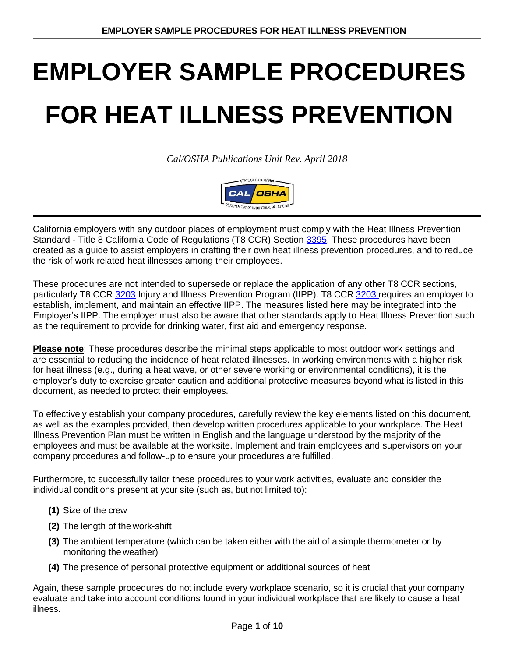*Cal/OSHA Publications Unit Rev. April 2018*



California employers with any outdoor places of employment must comply with the Heat Illness Prevention Standard - Title 8 California Code of Regulations (T8 CCR) Section [3395. T](http://www.dir.ca.gov/title8/3395.html)hese procedures have been created as a guide to assist employers in crafting their own heat illness prevention procedures, and to reduce the risk of work related heat illnesses among their employees.

These procedures are not intended to supersede or replace the application of any other T8 CCR sections, particularly T8 CCR [3203](http://www.dir.ca.gov/title8/3203.html) Injury and Illness Prevention Program (IIPP). T8 CCR [3203 r](http://www.dir.ca.gov/title8/3203.html)equires an employer to establish, implement, and maintain an effective IIPP. The measures listed here may be integrated into the Employer's IIPP. The employer must also be aware that other standards apply to Heat Illness Prevention such as the requirement to provide for drinking water, first aid and emergency response.

**Please note**: These procedures describe the minimal steps applicable to most outdoor work settings and are essential to reducing the incidence of heat related illnesses. In working environments with a higher risk for heat illness (e.g., during a heat wave, or other severe working or environmental conditions), it is the employer's duty to exercise greater caution and additional protective measures beyond what is listed in this document, as needed to protect their employees.

To effectively establish your company procedures, carefully review the key elements listed on this document, as well as the examples provided, then develop written procedures applicable to your workplace. The Heat Illness Prevention Plan must be written in English and the language understood by the majority of the employees and must be available at the worksite. Implement and train employees and supervisors on your company procedures and follow-up to ensure your procedures are fulfilled.

Furthermore, to successfully tailor these procedures to your work activities, evaluate and consider the individual conditions present at your site (such as, but not limited to):

- **(1)** Size of the crew
- **(2)** The length of the work-shift
- **(3)** The ambient temperature (which can be taken either with the aid of a simple thermometer or by monitoring the weather)
- **(4)** The presence of personal protective equipment or additional sources of heat

Again, these sample procedures do not include every workplace scenario, so it is crucial that your company evaluate and take into account conditions found in your individual workplace that are likely to cause a heat illness.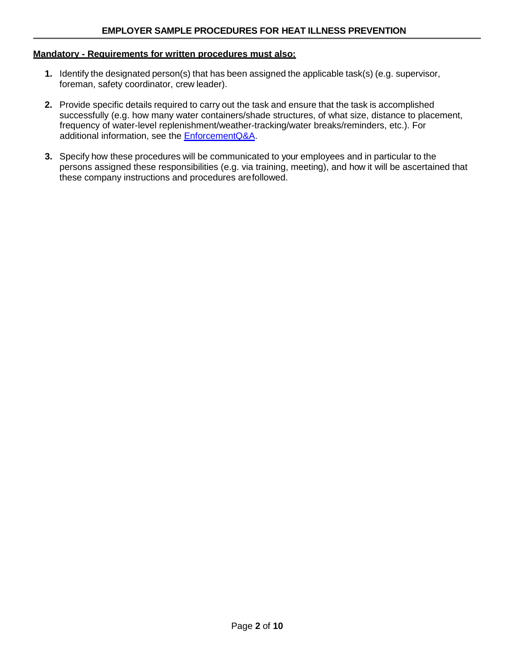#### **Mandatory - Requirements for written procedures must also:**

- **1.** Identify the designated person(s) that has been assigned the applicable task(s) (e.g. supervisor, foreman, safety coordinator, crew leader).
- **2.** Provide specific details required to carry out the task and ensure that the task is accomplished successfully (e.g. how many water containers/shade structures, of what size, distance to placement, frequency of water-level replenishment/weather-tracking/water breaks/reminders, etc.). For additional information, see the **EnforcementQ&A**.
- **3.** Specify how these procedures will be communicated to your employees and in particular to the persons assigned these responsibilities (e.g. via training, meeting), and how it will be ascertained that these company instructions and procedures arefollowed.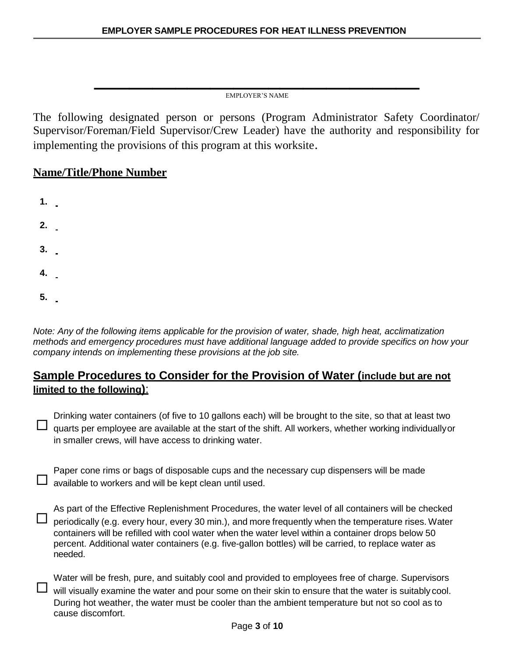**\_\_\_\_\_\_\_\_\_\_\_\_\_\_\_\_\_\_\_\_\_\_\_\_\_\_\_\_** EMPLOYER'S NAME

The following designated person or persons (Program Administrator Safety Coordinator/ Supervisor/Foreman/Field Supervisor/Crew Leader) have the authority and responsibility for implementing the provisions of this program at this worksite.

## **Name/Title/Phone Number**

**1. 2. 3. 4. 5.**

*Note: Any of the following items applicable for the provision of water, shade, high heat, acclimatization methods and emergency procedures must have additional language added to provide specifics on how your company intends on implementing these provisions at the job site.*

## **Sample Procedures to Consider for the Provision of Water (include but are not limited to the following)**:

Drinking water containers (of five to 10 gallons each) will be brought to the site, so that at least two  $\Box$  quarts per employee are available at the start of the shift. All workers, whether working individually or in smaller crews, will have access to drinking water.

Paper cone rims or bags of disposable cups and the necessary cup dispensers will be made  $\Box$  available to workers and will be kept clean until used.

As part of the Effective Replenishment Procedures, the water level of all containers will be checked □ periodically (e.g. every hour, every 30 min.), and more frequently when the temperature rises. Water containers will be refilled with cool water when the water level within a container drops below 50 percent. Additional water containers (e.g. five-gallon bottles) will be carried, to replace water as needed.

Water will be fresh, pure, and suitably cool and provided to employees free of charge. Supervisors  $\Box$  will visually examine the water and pour some on their skin to ensure that the water is suitably cool. During hot weather, the water must be cooler than the ambient temperature but not so cool as to cause discomfort.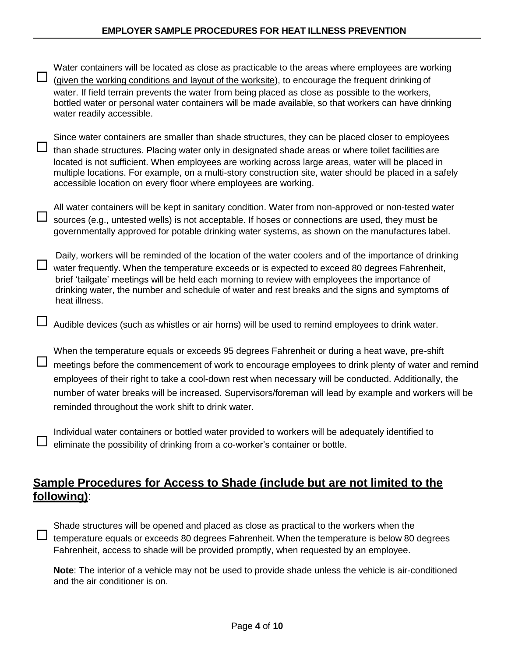| Water containers will be located as close as practicable to the areas where employees are working<br>(given the working conditions and layout of the worksite), to encourage the frequent drinking of<br>water. If field terrain prevents the water from being placed as close as possible to the workers,<br>bottled water or personal water containers will be made available, so that workers can have drinking<br>water readily accessible.                                           |
|-------------------------------------------------------------------------------------------------------------------------------------------------------------------------------------------------------------------------------------------------------------------------------------------------------------------------------------------------------------------------------------------------------------------------------------------------------------------------------------------|
| Since water containers are smaller than shade structures, they can be placed closer to employees<br>than shade structures. Placing water only in designated shade areas or where toilet facilities are<br>located is not sufficient. When employees are working across large areas, water will be placed in<br>multiple locations. For example, on a multi-story construction site, water should be placed in a safely<br>accessible location on every floor where employees are working. |
| All water containers will be kept in sanitary condition. Water from non-approved or non-tested water<br>sources (e.g., untested wells) is not acceptable. If hoses or connections are used, they must be<br>governmentally approved for potable drinking water systems, as shown on the manufactures label.                                                                                                                                                                               |
| Daily, workers will be reminded of the location of the water coolers and of the importance of drinking<br>water frequently. When the temperature exceeds or is expected to exceed 80 degrees Fahrenheit,<br>brief 'tailgate' meetings will be held each morning to review with employees the importance of<br>drinking water, the number and schedule of water and rest breaks and the signs and symptoms of<br>heat illness.                                                             |
| Audible devices (such as whistles or air horns) will be used to remind employees to drink water.                                                                                                                                                                                                                                                                                                                                                                                          |
| When the temperature equals or exceeds 95 degrees Fahrenheit or during a heat wave, pre-shift<br>meetings before the commencement of work to encourage employees to drink plenty of water and remind<br>employees of their right to take a cool-down rest when necessary will be conducted. Additionally, the<br>number of water breaks will be increased. Supervisors/foreman will lead by example and workers will be<br>reminded throughout the work shift to drink water.             |
| Individual water containers or bottled water provided to workers will be adequately identified to<br>eliminate the possibility of drinking from a co-worker's container or bottle.                                                                                                                                                                                                                                                                                                        |
|                                                                                                                                                                                                                                                                                                                                                                                                                                                                                           |

## **Sample Procedures for Access to Shade (include but are not limited to the following)**:

Shade structures will be opened and placed as close as practical to the workers when the  $\Box$  temperature equals or exceeds 80 degrees Fahrenheit. When the temperature is below 80 degrees Fahrenheit, access to shade will be provided promptly, when requested by an employee.

**Note**: The interior of a vehicle may not be used to provide shade unless the vehicle is air-conditioned and the air conditioner is on.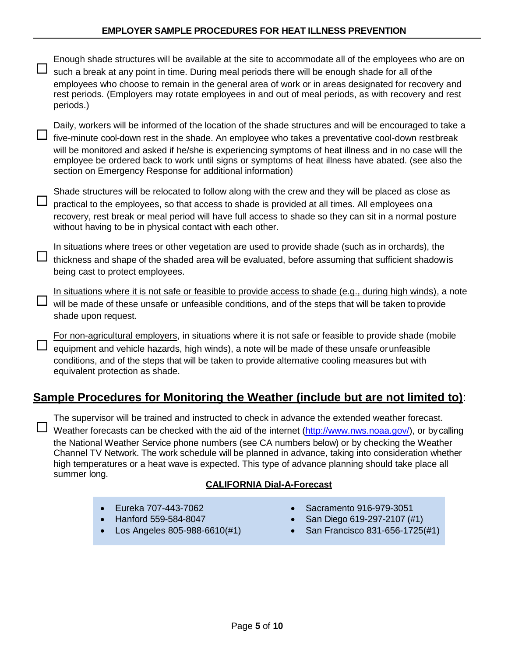| periods.)                                                                                                                                                                                                                                                                                                                                                                                                                                                                                                                               | Enough shade structures will be available at the site to accommodate all of the employees who are on<br>such a break at any point in time. During meal periods there will be enough shade for all of the<br>employees who choose to remain in the general area of work or in areas designated for recovery and<br>rest periods. (Employers may rotate employees in and out of meal periods, as with recovery and rest                                                                       |  |                                                                                          |  |
|-----------------------------------------------------------------------------------------------------------------------------------------------------------------------------------------------------------------------------------------------------------------------------------------------------------------------------------------------------------------------------------------------------------------------------------------------------------------------------------------------------------------------------------------|---------------------------------------------------------------------------------------------------------------------------------------------------------------------------------------------------------------------------------------------------------------------------------------------------------------------------------------------------------------------------------------------------------------------------------------------------------------------------------------------|--|------------------------------------------------------------------------------------------|--|
|                                                                                                                                                                                                                                                                                                                                                                                                                                                                                                                                         | Daily, workers will be informed of the location of the shade structures and will be encouraged to take a<br>five-minute cool-down rest in the shade. An employee who takes a preventative cool-down restbreak<br>will be monitored and asked if he/she is experiencing symptoms of heat illness and in no case will the<br>employee be ordered back to work until signs or symptoms of heat illness have abated. (see also the<br>section on Emergency Response for additional information) |  |                                                                                          |  |
| Shade structures will be relocated to follow along with the crew and they will be placed as close as<br>practical to the employees, so that access to shade is provided at all times. All employees on a<br>recovery, rest break or meal period will have full access to shade so they can sit in a normal posture<br>without having to be in physical contact with each other.                                                                                                                                                         |                                                                                                                                                                                                                                                                                                                                                                                                                                                                                             |  |                                                                                          |  |
| In situations where trees or other vegetation are used to provide shade (such as in orchards), the<br>thickness and shape of the shaded area will be evaluated, before assuming that sufficient shadow is<br>being cast to protect employees.                                                                                                                                                                                                                                                                                           |                                                                                                                                                                                                                                                                                                                                                                                                                                                                                             |  |                                                                                          |  |
| In situations where it is not safe or feasible to provide access to shade (e.g., during high winds), a note<br>will be made of these unsafe or unfeasible conditions, and of the steps that will be taken to provide<br>shade upon request.                                                                                                                                                                                                                                                                                             |                                                                                                                                                                                                                                                                                                                                                                                                                                                                                             |  |                                                                                          |  |
| For non-agricultural employers, in situations where it is not safe or feasible to provide shade (mobile<br>equipment and vehicle hazards, high winds), a note will be made of these unsafe or unfeasible<br>conditions, and of the steps that will be taken to provide alternative cooling measures but with<br>equivalent protection as shade.                                                                                                                                                                                         |                                                                                                                                                                                                                                                                                                                                                                                                                                                                                             |  |                                                                                          |  |
|                                                                                                                                                                                                                                                                                                                                                                                                                                                                                                                                         | Sample Procedures for Monitoring the Weather (include but are not limited to):                                                                                                                                                                                                                                                                                                                                                                                                              |  |                                                                                          |  |
| The supervisor will be trained and instructed to check in advance the extended weather forecast.<br>Weather forecasts can be checked with the aid of the internet (http://www.nws.noaa.gov/), or by calling<br>the National Weather Service phone numbers (see CA numbers below) or by checking the Weather<br>Channel TV Network. The work schedule will be planned in advance, taking into consideration whether<br>high temperatures or a heat wave is expected. This type of advance planning should take place all<br>summer long. |                                                                                                                                                                                                                                                                                                                                                                                                                                                                                             |  |                                                                                          |  |
|                                                                                                                                                                                                                                                                                                                                                                                                                                                                                                                                         | <b>CALIFORNIA Dial-A-Forecast</b>                                                                                                                                                                                                                                                                                                                                                                                                                                                           |  |                                                                                          |  |
| $\bullet$                                                                                                                                                                                                                                                                                                                                                                                                                                                                                                                               | Eureka 707-443-7062<br>Hanford 559-584-8047<br>Los Angeles 805-988-6610(#1)                                                                                                                                                                                                                                                                                                                                                                                                                 |  | Sacramento 916-979-3051<br>San Diego 619-297-2107 (#1)<br>San Francisco 831-656-1725(#1) |  |
|                                                                                                                                                                                                                                                                                                                                                                                                                                                                                                                                         |                                                                                                                                                                                                                                                                                                                                                                                                                                                                                             |  |                                                                                          |  |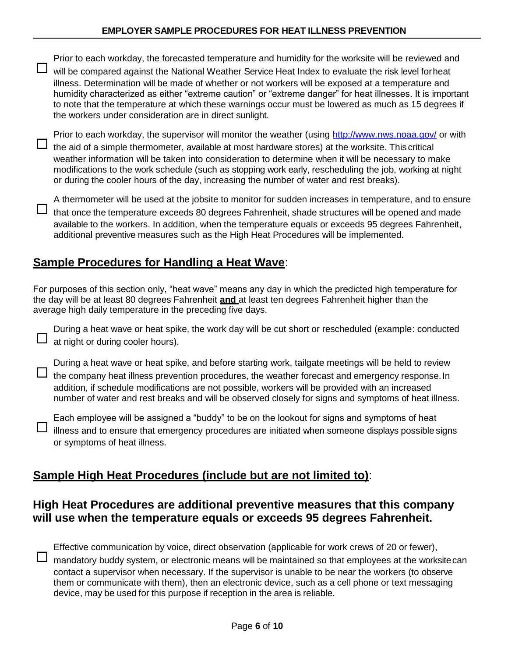| Prior to each workday, the forecasted temperature and humidity for the worksite will be reviewed and<br>will be compared against the National Weather Service Heat Index to evaluate the risk level for heat                                                                                                                                                                                                                                                                                                              |
|---------------------------------------------------------------------------------------------------------------------------------------------------------------------------------------------------------------------------------------------------------------------------------------------------------------------------------------------------------------------------------------------------------------------------------------------------------------------------------------------------------------------------|
| illness. Determination will be made of whether or not workers will be exposed at a temperature and<br>humidity characterized as either "extreme caution" or "extreme danger" for heat illnesses. It is important<br>to note that the temperature at which these warnings occur must be lowered as much as 15 degrees if<br>the workers under consideration are in direct sunlight.                                                                                                                                        |
| Prior to each workday, the supervisor will monitor the weather (using http://www.nws.noaa.gov/ or with<br>the aid of a simple thermometer, available at most hardware stores) at the worksite. This critical<br>weather information will be taken into consideration to determine when it will be necessary to make<br>modifications to the work schedule (such as stopping work early, rescheduling the job, working at night<br>or during the cooler hours of the day, increasing the number of water and rest breaks). |
| A thermometer will be used at the jobsite to monitor for sudden increases in temperature, and to ensure<br>that once the temperature exceeds 80 degrees Fahrenheit, shade structures will be opened and made<br>available to the workers. In addition, when the temperature equals or exceeds 95 degrees Fahrenheit,<br>additional preventive measures such as the High Heat Procedures will be implemented.                                                                                                              |

## **Sample Procedures for Handling a Heat Wave**:

For purposes of this section only, "heat wave" means any day in which the predicted high temperature for the day will be at least 80 degrees Fahrenheit **and** at least ten degrees Fahrenheit higher than the average high daily temperature in the preceding five days.

During a heat wave or heat spike, the work day will be cut short or rescheduled (example: conducted  $\Box$  at night or during cooler hours).

During a heat wave or heat spike, and before starting work, tailgate meetings will be held to review  $\Box$  the company heat illness prevention procedures, the weather forecast and emergency response. In addition, if schedule modifications are not possible, workers will be provided with an increased number of water and rest breaks and will be observed closely for signs and symptoms of heat illness.

Each employee will be assigned a "buddy" to be on the lookout for signs and symptoms of heat  $\Box$  illness and to ensure that emergency procedures are initiated when someone displays possible signs or symptoms of heat illness.

## **Sample High Heat Procedures (include but are not limited to)**:

## **High Heat Procedures are additional preventive measures that this company will use when the temperature equals or exceeds 95 degrees Fahrenheit.**

Effective communication by voice, direct observation (applicable for work crews of 20 or fewer),

 $\Box$  mandatory buddy system, or electronic means will be maintained so that employees at the worksite can contact a supervisor when necessary. If the supervisor is unable to be near the workers (to observe them or communicate with them), then an electronic device, such as a cell phone or text messaging device, may be used for this purpose if reception in the area is reliable.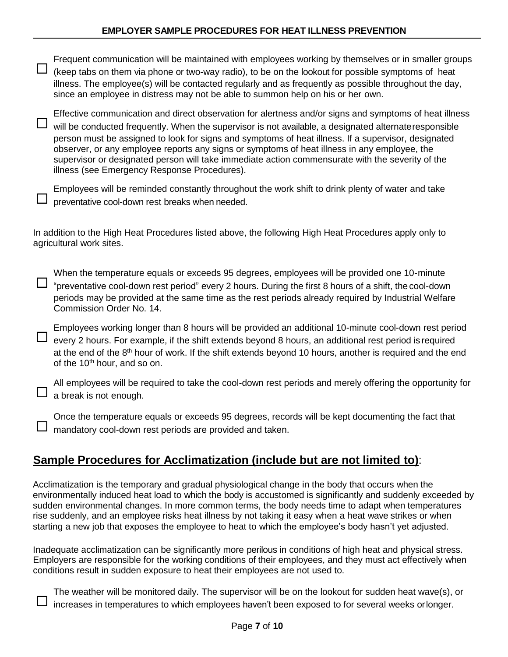| Frequent communication will be maintained with employees working by themselves or in smaller groups<br>(keep tabs on them via phone or two-way radio), to be on the lookout for possible symptoms of heat<br>illness. The employee(s) will be contacted regularly and as frequently as possible throughout the day,<br>since an employee in distress may not be able to summon help on his or her own.                                                                                                                                                                      |
|-----------------------------------------------------------------------------------------------------------------------------------------------------------------------------------------------------------------------------------------------------------------------------------------------------------------------------------------------------------------------------------------------------------------------------------------------------------------------------------------------------------------------------------------------------------------------------|
| Effective communication and direct observation for alertness and/or signs and symptoms of heat illness<br>will be conducted frequently. When the supervisor is not available, a designated alternate responsible<br>person must be assigned to look for signs and symptoms of heat illness. If a supervisor, designated<br>observer, or any employee reports any signs or symptoms of heat illness in any employee, the<br>supervisor or designated person will take immediate action commensurate with the severity of the<br>illness (see Emergency Response Procedures). |
| Employees will be reminded constantly throughout the work shift to drink plenty of water and take<br>preventative cool-down rest breaks when needed.                                                                                                                                                                                                                                                                                                                                                                                                                        |
| In addition to the High Heat Procedures listed above, the following High Heat Procedures apply only to<br>agricultural work sites.                                                                                                                                                                                                                                                                                                                                                                                                                                          |
| When the temperature equals or exceeds 95 degrees, employees will be provided one 10-minute<br>"preventative cool-down rest period" every 2 hours. During the first 8 hours of a shift, the cool-down<br>periods may be provided at the same time as the rest periods already required by Industrial Welfare<br>Commission Order No. 14.                                                                                                                                                                                                                                    |
| Employees working longer than 8 hours will be provided an additional 10-minute cool-down rest period<br>every 2 hours. For example, if the shift extends beyond 8 hours, an additional rest period is required<br>at the end of the 8 <sup>th</sup> hour of work. If the shift extends beyond 10 hours, another is required and the end<br>of the 10 <sup>th</sup> hour, and so on.                                                                                                                                                                                         |
| All employees will be required to take the cool-down rest periods and merely offering the opportunity for<br>a break is not enough.                                                                                                                                                                                                                                                                                                                                                                                                                                         |
| Once the temperature equals or exceeds 95 degrees, records will be kept documenting the fact that<br>mandatory cool-down rest periods are provided and taken.                                                                                                                                                                                                                                                                                                                                                                                                               |
| Sample Procedures for Acclimatization (include but are not limited to):                                                                                                                                                                                                                                                                                                                                                                                                                                                                                                     |
| Acolimptization is the temperary and aredual physiological ebones in the body that cooure when the                                                                                                                                                                                                                                                                                                                                                                                                                                                                          |

Acclimatization is the temporary and gradual physiological change in the body that occurs when the environmentally induced heat load to which the body is accustomed is significantly and suddenly exceeded by sudden environmental changes. In more common terms, the body needs time to adapt when temperatures rise suddenly, and an employee risks heat illness by not taking it easy when a heat wave strikes or when starting a new job that exposes the employee to heat to which the employee's body hasn't yet adjusted.

Inadequate acclimatization can be significantly more perilous in conditions of high heat and physical stress. Employers are responsible for the working conditions of their employees, and they must act effectively when conditions result in sudden exposure to heat their employees are not used to.

The weather will be monitored daily. The supervisor will be on the lookout for sudden heat wave(s), or increases in temperatures to which employees haven't been exposed to for several weeks orlonger.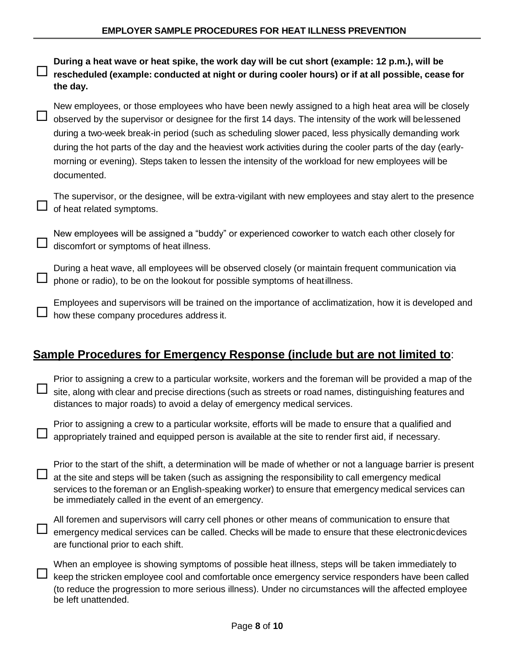

When an employee is showing symptoms of possible heat illness, steps will be taken immediately to keep the stricken employee cool and comfortable once emergency service responders have been called (to reduce the progression to more serious illness). Under no circumstances will the affected employee be left unattended.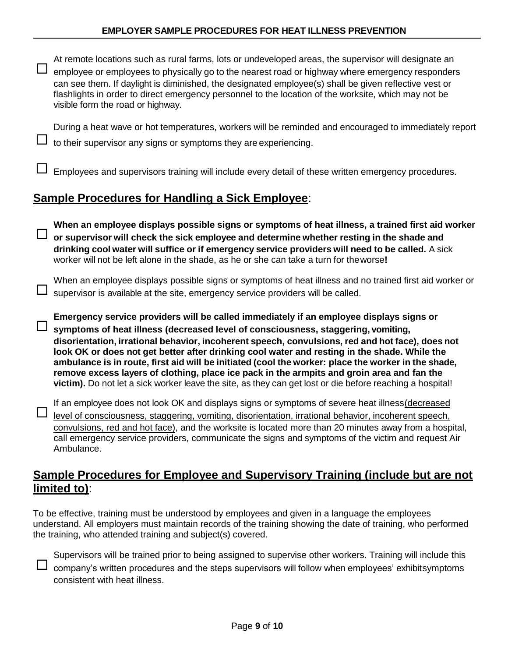| At remote locations such as rural farms, lots or undeveloped areas, the supervisor will designate an<br>employee or employees to physically go to the nearest road or highway where emergency responders<br>can see them. If daylight is diminished, the designated employee(s) shall be given reflective vest or<br>flashlights in order to direct emergency personnel to the location of the worksite, which may not be<br>visible form the road or highway.                                                                                                                                                                                                                                     |
|----------------------------------------------------------------------------------------------------------------------------------------------------------------------------------------------------------------------------------------------------------------------------------------------------------------------------------------------------------------------------------------------------------------------------------------------------------------------------------------------------------------------------------------------------------------------------------------------------------------------------------------------------------------------------------------------------|
| During a heat wave or hot temperatures, workers will be reminded and encouraged to immediately report<br>to their supervisor any signs or symptoms they are experiencing.                                                                                                                                                                                                                                                                                                                                                                                                                                                                                                                          |
| Employees and supervisors training will include every detail of these written emergency procedures.                                                                                                                                                                                                                                                                                                                                                                                                                                                                                                                                                                                                |
| <b>Sample Procedures for Handling a Sick Employee:</b>                                                                                                                                                                                                                                                                                                                                                                                                                                                                                                                                                                                                                                             |
| When an employee displays possible signs or symptoms of heat illness, a trained first aid worker<br>or supervisor will check the sick employee and determine whether resting in the shade and<br>drinking cool water will suffice or if emergency service providers will need to be called. A sick<br>worker will not be left alone in the shade, as he or she can take a turn for theworse!                                                                                                                                                                                                                                                                                                       |
| When an employee displays possible signs or symptoms of heat illness and no trained first aid worker or<br>supervisor is available at the site, emergency service providers will be called.                                                                                                                                                                                                                                                                                                                                                                                                                                                                                                        |
| Emergency service providers will be called immediately if an employee displays signs or<br>symptoms of heat illness (decreased level of consciousness, staggering, vomiting,<br>disorientation, irrational behavior, incoherent speech, convulsions, red and hot face), does not<br>look OK or does not get better after drinking cool water and resting in the shade. While the<br>ambulance is in route, first aid will be initiated (cool the worker: place the worker in the shade,<br>remove excess layers of clothing, place ice pack in the armpits and groin area and fan the<br>victim). Do not let a sick worker leave the site, as they can get lost or die before reaching a hospital! |
| If an employee does not look OK and displays signs or symptoms of severe heat illness (decreased<br>level of consciousness, staggering, vomiting, disorientation, irrational behavior, incoherent speech,<br>convulsions, red and hot face), and the worksite is located more than 20 minutes away from a hospital,<br>call emergency service providers, communicate the signs and symptoms of the victim and request Air<br>Ambulance.                                                                                                                                                                                                                                                            |
| <b>Sample Procedures for Employee and Supervisory Training (include but are not</b><br>limited to):                                                                                                                                                                                                                                                                                                                                                                                                                                                                                                                                                                                                |

To be effective, training must be understood by employees and given in a language the employees understand. All employers must maintain records of the training showing the date of training, who performed the training, who attended training and subject(s) covered.



Supervisors will be trained prior to being assigned to supervise other workers. Training will include this  $\Box$  company's written procedures and the steps supervisors will follow when employees' exhibitsymptoms consistent with heat illness.